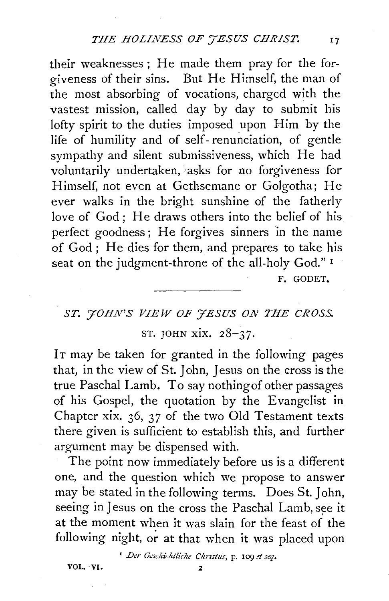their weaknesses; He made them pray for the forgiveness of their sins. But He Himself, the man of the most absorbing of vocations, charged with the vastest mission, called day by day to submit his lofty spirit to the duties imposed upon Him by the life of humility and of self- renunciation, of gentle sympathy and silent submissiveness, which He had voluntarily undertaken, 'asks for no forgiveness for Himself, not even at Gethsemane or Golgotha; He ever walks in the bright sunshine of the fatherly love of God; He draws others into the belief of his perfect goodness; He forgives sinners 'in the name of God ; He dies for them, and prepares to take his seat on the judgment-throne of the all-holy God."<sup>1</sup>

F. GODET.

## *ST. yoHN'S VIEW OF YESUS ON THE CROSS.*  ST. JOHN xix. 28-37.

IT may be taken for granted in the following pages that, in the view of St. John, Jesus on the cross is the true Paschal Lamb. To say nothing of other passages of his Gospel, the quotation by the Evangelist in Chapter xix. 36, 37 of the two Old Testament texts there given is sufficient to establish this, and further argument may be dispensed with.

The point now immediately before us is a different one, and the question which we propose to answer may be stated in the following terms. Does St. John, seeing in Jesus on the cross the Paschal Lamb, see it at the moment when it was slain for the feast of the following night, or at that when it was placed upon

<sup>1</sup> Der Geschichtliche Christus, p. 109 et seq.

VOL. ·VI. 2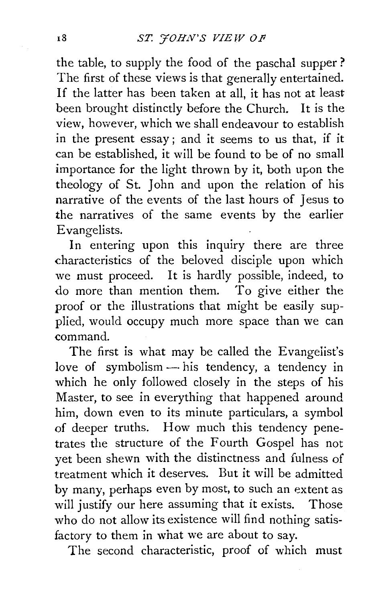the table, to supply the food of the paschal supper? The first of these views is that generally entertained. If the latter has been taken at all, it has not at least been brought distinctly before the Church. It is the view, however, which we shall endeavour to establish in the present essay; and it seems to us that, if it can be established, it will be found to be of no small importance for the light thrown by it, both upon the theology of St. John and upon the relation of his narrative of the events of the last hours of Jesus to the narratives of the same events by the earlier Evangelists.

In entering upon this inquiry there are three characteristics of the beloved disciple upon which we must proceed. It is hardly possible, indeed, to do more than mention them. To give either the proof or the illustrations that might be easily supplied, would occupy much more space than we can command.

The first is what may be called the Evangelist's love of symbolism  $-$  his tendency, a tendency in which he only followed closely in the steps of his Master, to see in everything that happened around him, down even to its minute particulars, a symbol of deeper truths. How much this tendency penetrates the structure of the Fourth Gospel has not yet been shewn with the distinctness and fulness of treatment which it deserves. But it will be admitted by many, perhaps even by most, to such an extent as will justify our here assuming that it exists. Those who do not allow its existence will find nothing satisfactory to them in what we are about to say.

The second characteristic, proof of which must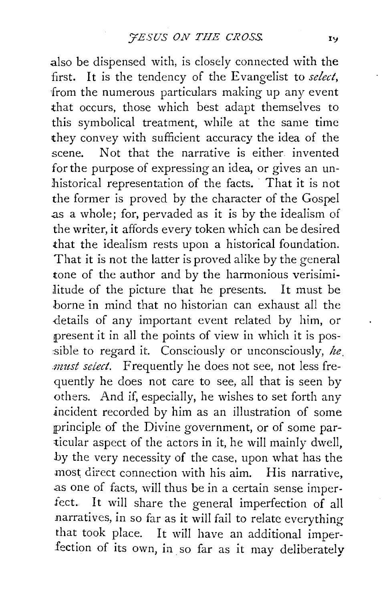also be dispensed with, is closely connected with the first. It is the tendency of the Evangelist to *select*, from the numerous particulars making up any event that occurs, those which best adapt themselves to this symbolical treatment, while at the same time they convey with sufficient accuracy the idea of the scene. Not that the narrative is either invented for the purpose of expressing an idea, or gives an unhistorical representation of the facts. That it is not the former is proved by the character of the Gospel .as a whole; for, pervaded as it is by the idealism of the writer, it affords every token which can be desired that the idealism rests upon a historical foundation. That it is not the latter is proved alike by the general tone of the author and by the harmonious verisimilitude of the picture that he presents. It must be borne in mind that no historian can exhaust all the details of any important event related by him, or present it in all the points of view in which it is possible to regard it. Consciously or unconsciously, *he. must select.* Frequently he does not see, not less frequently he does not care to see, all that is seen by others. And if, especially, he wishes to set forth any incident recorded by him as an illustration of some principle of the Divine government, or of some particular aspect of the actors in it, he will mainly dwell, by the very necessity of the case, upon what has the most direct connection with his aim. His narrative, as one of facts, will thus be in a certain sense imperfect. It will share the general imperfection of all narratives, in so far as it will fail to relate everything that took place. It will have an additional imperfection of its own, in so far as it may deliberately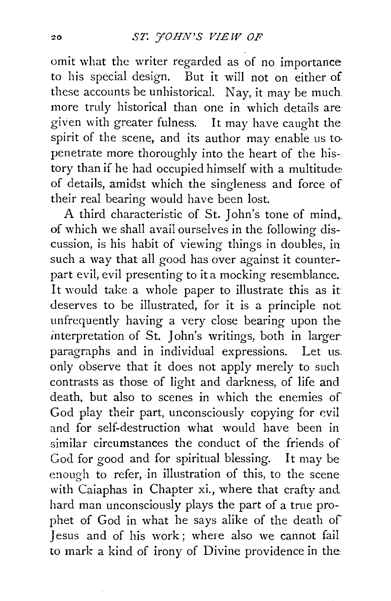omit what the writer regarded as of no importance to his special design. But it will not on either of these accounts be unhistorical. Nay, it may be much more truly historical than one in which details are given with greater fulness. It may have caught the spirit of the scene, and its author may enable us to· penetrate more thoroughly into the heart of the history than if he had occupied himself with a multitude: of details, amidst which the singleness and force of their real bearing would have been lost.

A third characteristic of St. John's tone of mind,. of which we shall avail ourselves in the following discussion, is his habit of viewing things in doubles, in such a way that all good has over against it counterpart evil, evil presenting to it a mocking resemblance. It would take a whole paper to illustrate this as it: deserves to be illustrated, for it is a principle not unfrequently having a very close bearing upon the interpretation of St. John's writings, both in larger· paragraphs and in individual expressions. Let us. only observe that it does not apply merely to such contrasts as those of light and darkness, of life and death, but also to scenes in which the enemies of God play their part, unconsciously copying for evil and for self-destruction what would have been in similar circumstances the conduct of the friends of God for good and for spiritual blessing. It may be enough to refer, in illustration of this, to the scene· with Caiaphas in Chapter xi., where that crafty and hard man unconsciously plays the part of a true prophet of God in what he says alike of the death of Jesus and of his work; where also we cannot fail to mark a kind of irony of Divine providence in the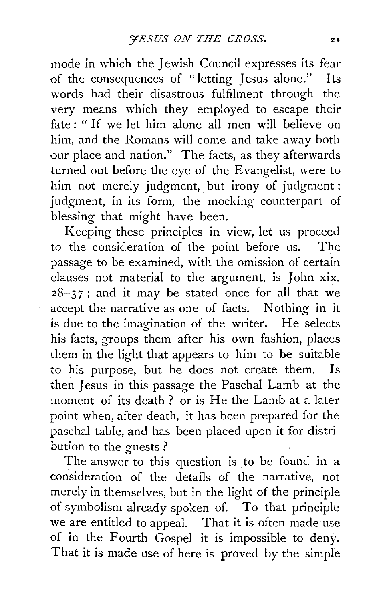mode in which the Jewish Council expresses its fear of the consequences of " letting Jesus alone." Its words had their disastrous fulfilment through the very means which they employed to escape their fate : " If we let him alone all men will believe on him, and the Romans will come and take away both our place and nation." The facts, as they afterwards turned out before the eye of the Evangelist, were to him not merely judgment, but irony of judgment; judgment, in its form, the mocking counterpart of blessing that might have been.

Keeping these principles in view, let us proceed to the consideration of the point before us. The passage to be examined, with the omission of certain clauses not material to the argument, is John xix.  $28-37$ ; and it may be stated once for all that we accept the narrative as one of facts. Nothing in it is due to the imagination of the writer. He selects his facts, groups them after his own fashion, places them in the light that appears to him to be suitable to his purpose, but he does not create them. Is then Jesus in this passage the Paschal Lamb at the moment of its death? or is He the Lamb at a later point when, after death, it has been prepared for the paschal table, and has been placed upon it for distribution to the guests ?

The answer to this question is to be found in a consideration of the details of the narrative, not merely in themselves, but in the light of the principle of symbolism already spoken of. To that principle we are entitled to appeal. That it is often made use of in the Fourth Gospel it is impossible to deny. That it is made use of here is proved by the simple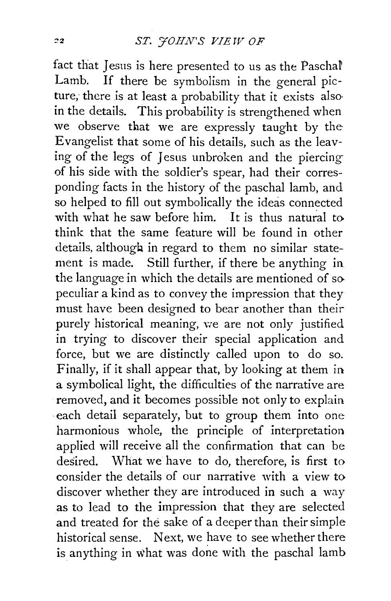fact that Jesus is here presented to us as the Paschal Lamb. If there be symbolism in the general picture, there is at least a probability that it exists also· in the details. This probability is strengthened when we observe that we are expressly taught by the Evangelist that some of his details, such as the leaving of the legs of Jesus unbroken and the piercing of his side with the soldier's spear, had their corresponding facts in the history of the paschal lamb, and so helped to fill out symbolically the ideas connected with what he saw before him. It is thus natural to think that the same feature will be found in other details, although in regard to them no similar statement is made. Still further, if there be anything in the language in which the details are mentioned of so peculiar a kind as to convey the impression that they must have been designed to bear another than their purely historical meaning, we are not only justified in trying to discover their special application and force, but we are distinctly called upon to do so. Finally, if it shall appear that, by looking at them in a symbolical light, the difficulties of the narrative are removed, and it becomes possible not only to explain each detail separately, but to group them into one harmonious whole, the principle of interpretation applied will receive all the confirmation that can be desired. What we have to do, therefore, is first to consider the details of our narrative with a view to discover whether they are introduced in such a way as to lead to the impression that they are selected and treated for the sake of a deeper than their simple historical sense. Next, we have to see whether there is anything in what was done with the paschal lamb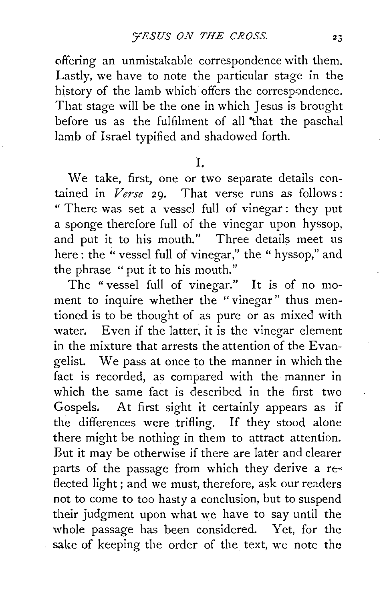offering an unmistakable correspondence with them. Lastly, we have to note the particular stage in the history of the lamb which offers the correspondence. That stage will be the one in which Jesus is brought before us as the fulfilment of all "that the paschal lamb of Israel typified and shadowed forth.

I.

We take, first, one or two separate details contained in *Verse* 29. That verse runs as follows : " There was set a vessel full of vinegar : they put a sponge therefore full of the vinegar upon hyssop, and put it to his mouth." Three details meet us here: the "vessel full of vinegar," the "hyssop," and the phrase "put it to his mouth."

The " vessel full of vinegar." It is of no moment to inquire whether the "vinegar" thus mentioned is to be thought of as pure or as mixed with water. Even if the latter, it is the vinegar element in the mixture that arrests the attention of the Evangelist. We pass at once to the manner in which the fact is recorded, as compared with the manner in which the same fact is described in the first two Gospels. At first sight it certainly appears as if the differences were trifling. If they stood alone there might be nothing in them to attract attention. But it may be otherwise if there are later and clearer parts of the passage from which they derive a reflected light; and we must, therefore, ask our readers not to come to too hasty a conclusion, but to suspend their judgment upon what we have to say until the whole passage has been considered. Yet, for the sake of keeping the order of the text, we note the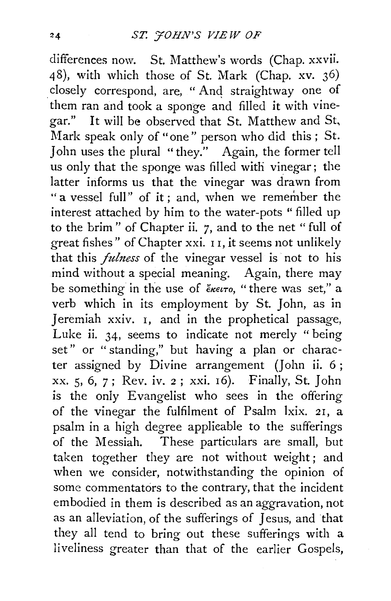differences now. St. Matthew's words (Chap. xxvii. 48), with which those of St. Mark (Chap. xv. 36) closely correspond, are, "And straightway one of them ran and took a sponge and filled it with vinegar." It will be observed that St. Matthew and St, Mark speak only of "one" person who did this; St. John uses the plural "they." Again, the former tell us only that the sponge was filled with vinegar; the latter informs us that the vinegar was drawn from " a vessel full" of it; and, when we remember the interest attached by him to the water-pots " filled up to the brim" of Chapter ii. 7, and to the net "full of great fishes" of Chapter xxi. I I, it seems not unlikely that this *fuhzess* of the vinegar vessel is not to his mind without a special meaning. Again, there may be something in the use of eκειτο, "there was set," a verb which in its employment by St. John, as in Jeremiah xxiv. I, and in the prophetical passage, Luke ii. 34, seems to indicate not merely "being set" or " standing," but having a plan or character assigned by Divine arrangement *(]* ohn ii. 6 ; xx. 5, 6, 7; Rev. iv. 2 ; xxi. I6). Finally, St. John is the oniy Evangelist who sees in the offering of the vinegar the fulfilment of Psalm lxix. 2I, a psalm in a high degree applicable to the sufferings of the Messiah. These particulars are small, but taken together they are not without weight; and when we consider, notwithstanding the opinion of some commentators to the contrary, that the incident embodied in them is described as an aggravation, not as an alleviation, of the sufferings of Jesus, and that they all tend to bring out these sufferings with a liveliness greater than that of the earlier Gospels,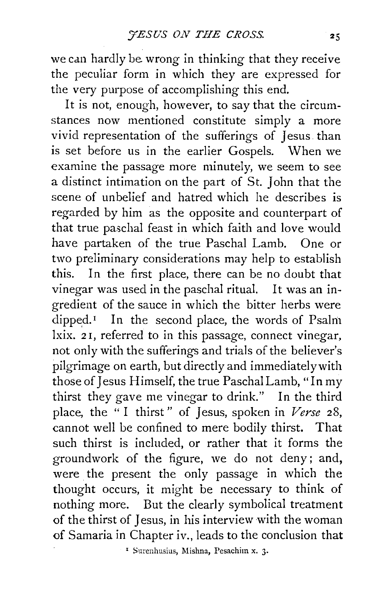we can hardly be wrong in thinking that they receive the peculiar form in which they are expressed for the very purpose of accomplishing this end.

It is not, enough, however, to say that the circumstances now mentioned constitute simply a more vivid representation of the sufferings of Jesus. than is set before us in the earlier Gospels. \Vhen we examine the passage more minutely, we seem to see a distinct intimation on the part of St. John that the scene of unbelief and hatred which he describes is regarded by him as the opposite and counterpart of that true paschal feast in which faith and love would have partaken of the true Paschal Lamb. One or two preliminary considerations may help to establish this. In the first place, there can be no doubt that vinegar was used in the paschal ritual. It was an ingredient of the sauce in which the bitter herbs were dipped.<sup>1</sup> In the second place, the words of Psalm lxix. 21, referred to in this passage, connect vinegar, not only with the sufferings and trials of the believer's pilgrimage on earth, but directly and immediately with those of Jesus Himself, the true Paschal Lamb, "In my thirst they gave me vinegar to drink." In the third place, the "I thirst" of Jesus, spoken in *Verse* 28, cannot well be confined to mere bodily thirst. That such thirst is included, or rather that it forms the groundwork of the figure, we do not deny; and, were the present the only passage in which the thought occurs, it might be necessary to think of nothing more. But the clearly symbolical treatment of the thirst of Jesus, in his interview with the woman of Samaria in Chapter iv., leads to the conclusion **that** 

<sup>1</sup> Surenhusius, Mishna, Pesachim x. 3.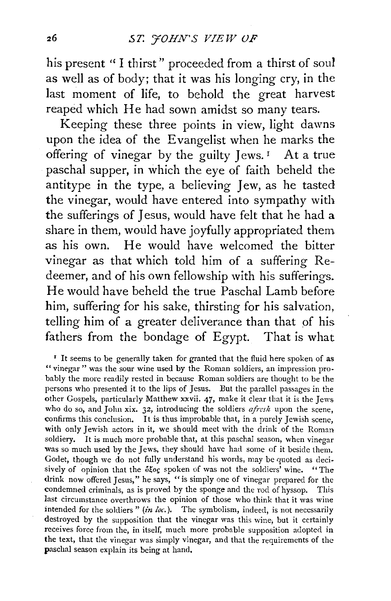his present "I thirst" proceeded from a thirst of soul as well as of body; that it was his longing cry, in the last moment of life, to behold the great harvest reaped which He had sown amidst so many tears.

Keeping these three points in view, light dawns upon the idea of the Evangelist when he marks the offering of vinegar by the guilty  $I_{\text{ews.}}$ <sup>1</sup> At a true paschal supper, in which the eye of faith beheld the antitype in the type, a believing Jew, as he tasted the vinegar, would have entered into sympathy with the sufferings of Jesus, would have felt that he had a share in them, would have joyfully appropriated them as his own. He would have welcomed the bitter vinegar as that which told him of a suffering Redeemer, and of his own fellowship with his sufferings. He would have beheld the true Paschal Lamb before him, suffering for his sake, thirsting for his salvation, telling him of a greater deliverance than that of his fathers from the bondage of Egypt. That is what

<sup>&#</sup>x27; It seems to be generally taken for granted that the fluid here spoken of as " vinegar " was the sour wine used by the Roman soldiers, an impression probably the more readily rested in because Roman soldiers are thought to be the persons who presented it to the lips of Jesus. But the parallel passages in the other Gospels, particularly Matthew xxvii. 47, make it clear that it is the Jews who do so, and John xix. 32, introducing the soldiers *afresh* upon the scene, confirms this conclusion. It is thus improbable that, in a purely Jewish scene, with only Jewish actors in it, we should meet with the drink of the Roman soldiery. It is much more probable that, at this paschal season, when vinegar was so much used by the Jews, they should have had some of it beside them. Godet, though we do not fully understand his words, may be quoted as decisively of opinion that the of spoken of was not the soldiers' wine. "The drink now offered Jesus," he says, "is simply one of vinegar prepared for the condemned criminals, as is proved by the sponge and the rod of hyssop. This last circumstance overthrows the opinion of those who think that it was wine intended for the soldiers"  $(in loc.)$ . The symbolism, indeed, is not necessarily destroyed by the supposition that the vinegar was this wine, but it certainly receives force from the, in itself, much more probable supposition adopted in the text, that the vinegar was simply vinegar, and that the requirements of the paschal season explain its being at hand.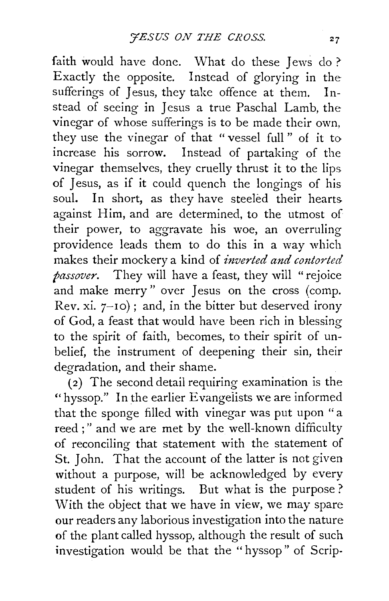faith would have done. What do these Jews do? Exactly the opposite. Instead of glorying in the sufferings of Jesus, they take offence at them. Instead of seeing in Jesus a true Paschal Lamb, the vinegar of whose sufferings is to be made their own, they use the vinegar of that " vessel full " of it to increase his sorrow. Instead of partaking of the vinegar themselves, they cruelly thrust it to the lips of Jesus, as if it could quench the longings of his soul. In short, as they have steeled their hearts against Him, and are determined, to the utmost of their power, to aggravate his woe, an overruling providence leads them to do this in a way which makes their mockery a kind of *inverted and contorted passover.* They will have a feast, they will "rejoice and make merry" over Jesus on the cross (comp. Rev. xi.  $7-10$ ; and, in the bitter but deserved irony of God, a feast that would have been rich in blessing to the spirit of faith, becomes, to their spirit of unbelief, the instrument of deepening their sin, their degradation, and their shame.

( 2) The second detail requiring examination is the "hyssop." In the earlier Evangelists we are informed that the sponge filled with vinegar was put upon "a reed;" and we are met by the well-known difficulty of reconciling that statement with the statement of St. John. That the account of the latter is not given without a purpose, will be acknowledged by every student of his writings. But what is the purpose ? With the object that we have in view, we may spare our readers any laborious investigation into the nature of the plant called hyssop, although the result of such investigation would be that the "hyssop" of Scrip-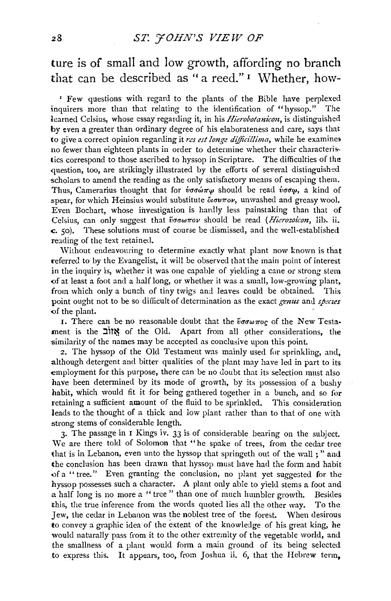## ture is of small and low growth, affording no branch that can be described as "a reed." I Whether, how-

' Few questions with regard to the plants of the Bible have perplexed inquirers more than that relating to the identification of "hyssop." The learned Celsius, whose essay regarding it, in his *Hierobotanicon,* is distinguished by even a greater than ordinary degree of his elaborateness and care, says that to give a correct opinion regarding it *res est !onge dijfici!lima,* while he examine; no fewer than eighteen plants in order to determine whether their characteristics correspond to those ascribed to hyssop in Scripture. The difficulties of the question, too, are strikingly illustrated by the efforts of several distinguished scholars to amend the reading as the only satisfactory means of escaping them. Thus, Camerarius thought that for  $\dot{v}\sigma\sigma\omega\pi\omega$  should be read  $\dot{v}\sigma\sigma\omega$ , a kind of spear, for which Heinsius would substitute *biourov*, unwashed and greasy wool. Even Bochart, whose iiwestigation is hardly less painstaking than that of Celsius, can only suggest that  $~\ddot{v}$ owwov should be read *(Hierozoicon*, lib. ii. c. 50). These solutions must of course be dismissed, and the well·establishcd reading of the text retained.

\Vithout endeavouring to determine exactly what plant now known is that referred to by the Evangelist, it will be observed that the main point of interest in the inquiry is, whether it was one capable of yielding a cane or strong stem of at least a foot and a half long, or whether it was a small, low-growing plant, from which only a bunch of tiny twigs and leaves could be obtained. This point ought not to be so difficult of determination as the exact *genus* and *specus*  of the plant.

I. There can be no reasonable doubt that the  $\tilde{v}\sigma\omega\pi\sigma\sigma$  of the New Testament is the  $2$ אוֹב of the Old. Apart from all other considerations, the similarity of the names may be accepted as conclusive upon this point.

2. The hyssop of the Old Testament was mainly used for sprinkling, and, although detergent and bitter qualities of the plant may have led in part to its employment for this purpose, there can be no doubt that its selection must also have been determined by its mode of growth, by its possession of a bushy habit, which would fit it for being gathered together in a bunch, and so for retaining a sufficient amount of the fluid to be sprinkled. This consideration leads to the thought of a thick and low plant rather than to that of one with strong stems of considerable length.

3· The passage in I Kings iv. 33 is of considerable bearing on the subject. We are there told of Solomon that "he spake of trees, from the cedar tree that is in Lebanon, even unto the hyssop that springeth out of the wall ; " and the conclusion has been drawn that hyssop must have had the form and habit of a " tree." Even granting the conclusion, no plant yet suggested for the hyssop possesses such a character. A plant only able to yield stems a foot and a half long is no more a "tree" than one of much humbler growth. Besides this, the true inference from the words quoted lies all the other way. To the Jew, the cedar in Lebanon was the noblest tree of the forest. When desirous to convey a graphic idea of the extent of the knowledge of his great king, he would naturally pass from it to the other extremity of the vegetable world, and the smallness of a plant would form a main ground of its being selected to express this. It appears, too, from Joshua ii. 6, that the Hebrew term,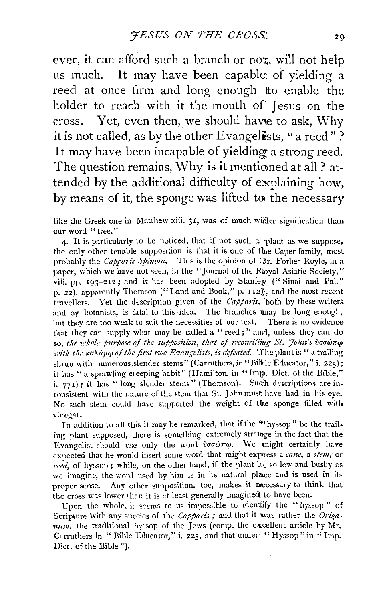ever, it can afford such a branch or nott, will not help us much. It may have been capable of vielding a reed at once firm and long enough tto enable the holder to reach with it the mouth of Jesus on the cross. Yet, even then, we should have to ask. Why it is not called, as by the other Evangelists, "a reed"? It may have been incapable of yielding a strong reed. The question remains, Why is it mentioned at all ? attended by the additional difficulty of explaining how. by means of it, the sponge was lifted to the necessary

like the Greek one in Matthew xiii. 31, was of much wider signification than our word "tree."

 $\Delta$ . It is particularly to be noticed, that if not such a polant as we suppose. the only other tenable supposition is that it is one of tlhe Caper family, most probably the *Capparis Spiuosa.* This is the opinion of Thr. Forbes Royle, in a paper, which we have not seen, in the "Journal of the Royal Asiatic Society," viii. pp.  $193-212$ ; and it has been adopted by Stanley ("Sinai and Pal." p. 22), apparently Thomson ("Land and Book," p. 112)), and the most recent travellers. Yet the description given of the *Capparis*, both by these writers and by botanists, is fatal to this idea. The branches may be long enough. but they are too weak to suit the necessities of our text. There is no evidence that they can supply what may be called a "reed;" and, unless they can do so, the whole purpose of the supposition, that of reconcilime St. *Hohn's ivacurus voith the xaAapto of the first two Evangelists, is defeated.* The plant is "a trailing" shrub with numerous slender stems" (Carruthers, in "Bible Educator," i. 225); it has " a sprawling creeping habit" (Hamilton, in "Imp. Dict. of the Bible," i. 771); it has "long slender stems" (Thomson). Such descriptions are inconsistent with the nature of the stem that St. John mustt have had in his eye. No sach stem could have supported the weight of tlhe sponge filled with vinegar.

In addition to all this it may be remarked, that if the ""hyssop" be the trailing plant supposed, there is something extremely stramge in the fact that the Evangelist should use only the word  $\hat{v}\sigma\hat{\omega}\pi\omega$ . We might certainly have expected that he would insert some word that might express a *cane*, a *stem*, or reed, of hyssop; while, on the other hand, if the plant be so low and bushy as we imagine, the word used by him is in its natural place and is used in its proper sense. Any other supposition, too, makes it mecessary to think that the cross was lower than it is at least generally imaginedl to have been.

Vpon the whole, it seemc, to us impossible to identiify the "hyssop" of Scripture with any species of the *Capparis*; and that it was rather the *Origanum,* the traditional hyssop of the Jews (comp. the excellent article by Mr. Carruthers in "Bible Educator," i. 225, and that under "Hyssop" in "Imp. Diet, of the Bible ").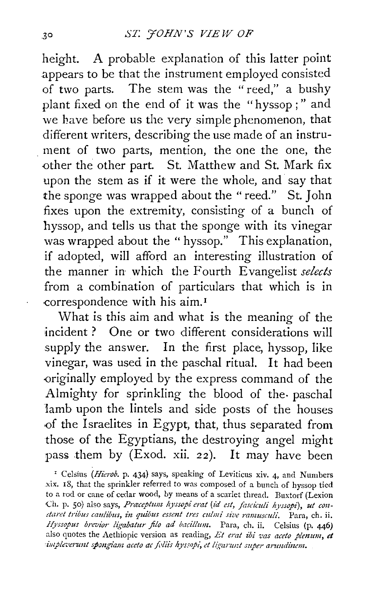height. A probable explanation of this latter point appears to be that the instrument employed consisted of two parts. The stem was the " reed," a bushy plant fixed on the end of it was the "hyssop;" and we have before us the very simple phenomenon, that different writers, describing the use made of an instru ment of two parts, mention, the one the one, the other the other part. St. Matthew and St. Mark fix upon the stem as if it were the whole, and say that the sponge was wrapped about the "reed." St. John fixes upon the extremity, consisting of a bunch of hyssop, and tells us that the sponge with its vinegar was wrapped about the "hyssop." This explanation, if adopted, will afford an interesting illustration of the manner in which the Fourth Evangelist *selects*  from a combination of particulars that which is in correspondence with his aim.<sup>1</sup>

What is this aim and what is the meaning of the incident ? One or two different considerations will supply the answer. In the first place, hyssop, like vinegar, was used in the paschal ritual. It had been -originally employed by the express command of the Almighty for sprinkling the blood of the- paschal lamb upon the lintels and side posts of the houses -of the Israelites in Egypt, that, thus separated from those of the Egyptians, the destroying angel might pass them by (Exod. xii. 22). It may have been

' Celsius *(Hierob.* p. 434) says, speaking of Leviticus xiv. 4, and Numbers .xix. 18, that the sprinkler referred to was composed of a bunch of hyssop tied to a rod or cane of cedar wood, by means of a scarlet thread. Buxtorf (Lexion Ch. p. 50) also says, *Praceptum hyssopi erat (id est, fasciculi hyssopi)*, ut con*sta;-et tribus cau!ibus, in quibus essent tres culmi sive ramusculi.* Para, eh. ii. *Hyssopus brevior ligabatur jilo ad bacillum.* Para, eh. ii. Celsius (p. 446) also quotes the Aethiopic version as reading, *Et erat ibi vas aceto plenum, et*  impleverunt spongiam aceto ac foliis hyssopi, et ligarunt super arundinem.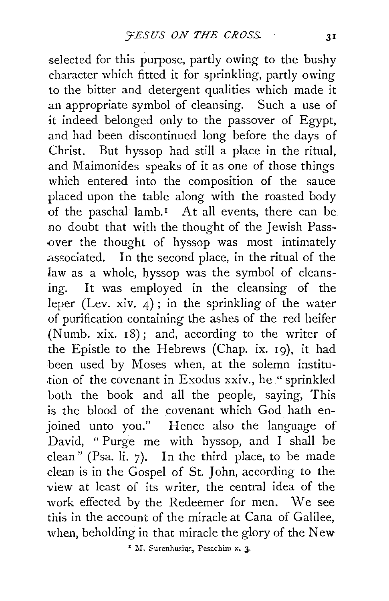selected for this purpose, partly owing to the bushy character which fitted it for sprinkling, partly owing to the bitter and detergent qualities which made it an appropriate symbol of cleansing. Such a use of it indeed belonged only to the passover of Egypt, and had been discontinued long before the days of Christ. But hyssop had still a place in the ritual, and Maimonides speaks of it as one of those things which entered into the composition of the sauce placed upon the table along with the roasted body of the paschal lamb.<sup> $I$ </sup> At all events, there can be no doubt that with the thought of the Jewish Pass over the thought of hyssop was most intimately .associated. In the second place, in the ritual of the law as a whole, hyssop was the symbol of cleansing. It was employed in the cleansing of the leper (Lev. xiv.  $4$ ); in the sprinkling of the water of purification containing the ashes of the red heifer (Numb. xix.  $18$ ); and, according to the writer of the Epistle to the Hebrews (Chap. ix. 19), it had been used by Moses when, at the solemn institution of the covenant in Exodus xxiv., he "sprinkled both the book and all the people, saying, This is the blood of the covenant which God hath enjoined unto you." Hence also the language of David, " Purge me with hyssop, and I shall be clean" (Psa. li. 7). In the third place, to be made clean is in the Gospel of St. John, according to the view at least of its writer, the central idea of the work effected by the Redeemer for men. We see this in the account of the miracle at Cana of Galilee, when, beholding in that miracle the glory of the New-

<sup>1</sup> M. Surenhusius, Pesachim x. 3.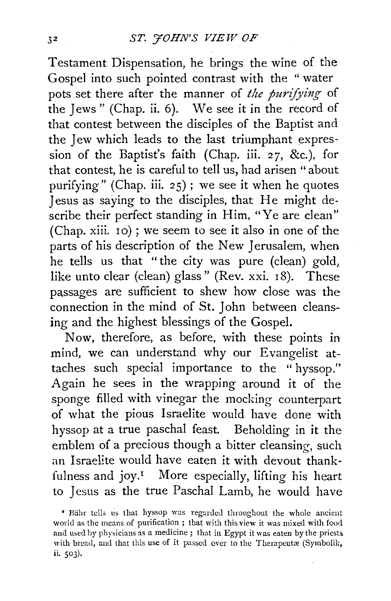Testament Dispensation, he brings the wine of the Gospel into such pointed contrast with the " water pots set there after the manner of *the purifying* of the Jews" (Chap. ii. 6). We see it in the record of that contest between the disciples of the Baptist and the Jew which leads to the last triumphant expression of the Baptist's faith (Chap. iii. *27,* &c.), for that contest, he is careful to tell us, had arisen "about purifying" (Chap. iii. 25) ; we see it when he quotes Jesus as saying to the disciples, that He might describe their perfect standing in Him, "Ye are clean" (Chap. xiii. 10) ; we seem to see it also in one of the parts of his description of the New Jerusalem, when he tells us that "the city was pure (clean) gold, like unto clear (clean) glass" (Rev. xxi. 18). These passages are sufficient to shcw how close was the connection in the mind of St. John between cleansing and the highest blessings of the Gospel.

Now, therefore, as before, with these points in mind, we can understand why our Evangelist attaches such special importance to the " hyssop." Again he sees in the wrapping around it of the sponge filled with vinegar the mocking counterpart of what the pious Israelite would have done with hyssop at a true paschal feast. Beholding in it the emblem of a precious though a bitter cleansing, such an Israelite would have eaten it with devout thankfulness and joy.<sup> $I$ </sup> More especially, lifting his heart to Jesus as the true Paschal Lamb, he would have

<sup>&</sup>lt;sup>\*</sup> Bähr tells us that hyssop was regarded throughout the whole ancient world as the means of purification ; that with this view it was mixed with food and used by physicians as a medicine; that in Egypt it was eaten by the priests with bread, and that this use of it passed over to the Therapeutæ (Symbolik, ii. soJ).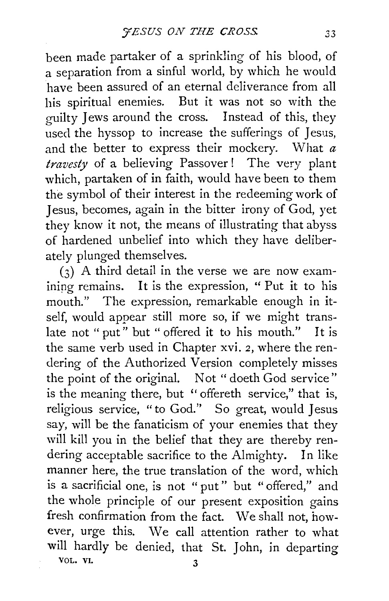been made partaker of a sprinkling of his blood, of a separation from a sinful world, by which he would have been assured of an eternal deliverance from all his spiritual enemies. But it was not so with the guilty Jews around the cross. Instead of this, they used the hyssop to increase the sufferings of Jesus, and the better to express their mockery. What *a travesty* of a believing Passover ! The very plant which, partaken of in faith, would have been to them the symbol of their interest in the redeeming work of 1 esus, becomes, again in the bitter irony of God, yet they know it not, the means of illustrating that abyss of hardened unbelief into which they have deliberately plunged themselves.

(3) A third detail in the verse we are now examining remains. It is the expression, " Put it to his mouth." The expression, remarkable enough in itself, would appear still more so, if we might translate not "put" but "offered it to his mouth." It is the same verb used in Chapter xvi. 2, where the rendering of the Authorized Version completely misses the point of the original. Not " doeth God service" is the meaning there, but '' offereth service," that is, religious service, "to God." So great, would Jesus say, will be the fanaticism of your enemies that they will kill you in the belief that they are thereby rendering acceptable sacrifice to the Almighty. In like manner here, the true translation of the word, which is a sacrificial one, is not " put" but "offered," and the whole principle of our present exposition gains fresh confirmation from the fact. We shall not, however, urge this. We call attention rather to what will hardly be denied, that St. *1* ohn, in departing VOL. VI. 3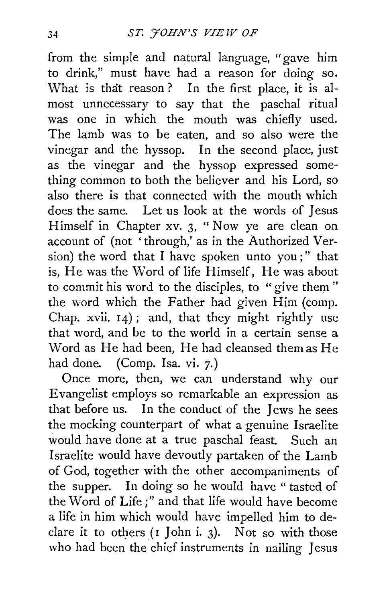from the simple and natural language, "gave him to drink," must have had a reason for doing so. What is that reason? In the first place, it is almost unnecessary to say that the paschal ritual was one in which the mouth was chiefly used. The Iamb was to be eaten, and so also were the vinegar and the hyssop. In the second place, just as the vinegar and the hyssop expressed something common to both the believer and his Lord, so also there is that connected with the mouth which does the same. Let us look at the words of Jesus Himself in Chapter xv. 3, " Now ye are clean on account of (not 'through,' as in the Authorized Version) the word that I have spoken unto you;" that is, He was the Word of life Himself, He was about to commit his word to the disciples, to "give them" the word which the Father had given Him (comp. Chap. xvii. 14) ; and, that they might rightly use that word, and be to the world in a certain sense a Word as He had been, He had cleansed them as He had done. (Comp. Isa. vi. 7.)

Once more, then, we can understand why our Evangelist employs so remarkable an expression as that before us. In the conduct of the Jews he sees the mocking counterpart of what a genuine Israelite would have done at a true paschal feast. Such an Israelite would have devoutly partaken of the Lamb of God, together with the other accompaniments of the supper. In doing so he would have "tasted of the Word of Life;" and that life would have become a life in him which would have impelled him to declare it to others  $(I \text{ John } i. 3)$ . Not so with those who had been the chief instruments in nailing Jesus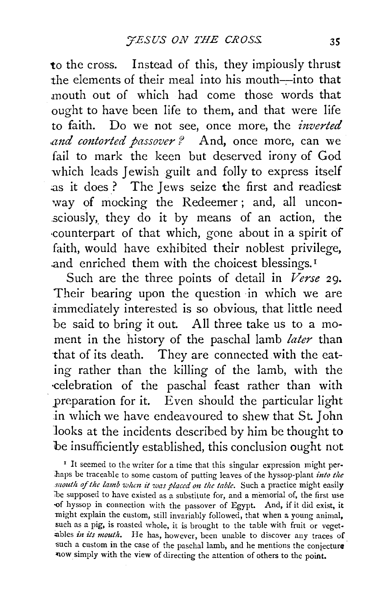to the cross. Instead of this, they impiously thrust the elements of their meal into his mouth-into that mouth out of which had come those words that ought to have been life to them, and that were life to faith. Do we not see, once more, the *inverted .and contorted passover?* And, once more, can we fail to mark the keen but deserved irony of God which leads Jewish guilt and folly to express itself ;as it does ? The Jews seize the first and readiest way of mocking the Redeemer ; and, all uncon sciously, they do it by means of an action, the ·counterpart of that which, gone about in a spirit of faith, would have exhibited their noblest privilege, .and enriched them with the choicest blessings. 1

Such are the three points of detail in *Verse* 29. Their bearing upon the question in which we are immediately interested is so obvious, that little need be said to bring it out. All three take us to a moment in the history of the paschal lamb *later* than that of its death. They are connected with the eating rather than the killing of the lamb, with the -celebration of the paschal feast rather than with preparation for it. Even should the particular light .in which we have endeavoured to shew that St. John looks at the incidents described by him be thought to be insufficiently established, this conclusion ought not

<sup>1</sup> It seemed to the writer for a time that this singular expression might perbaps be traceable to some custom of putting leaves of the hyssop-plant *into the 1/toutlt of the lamb wltm it was placed on the table.* Such a practice might easily be supposed to have existed as a substitute for, and a memorial of, the first use of hyssop in connection with the passover of Egypt. And, if it did exist, it might explain the custom, still invariably followed, that when a young animal, such as a pig, is roasted whole, it is brought to the table with fruit or vegetables *in its mouth*. He has, however, been unable to discover any traces of such a custom in the case of the paschal lamb, and he mentions the conjecture ~ow simply with the view of directing the attention of others to the point.